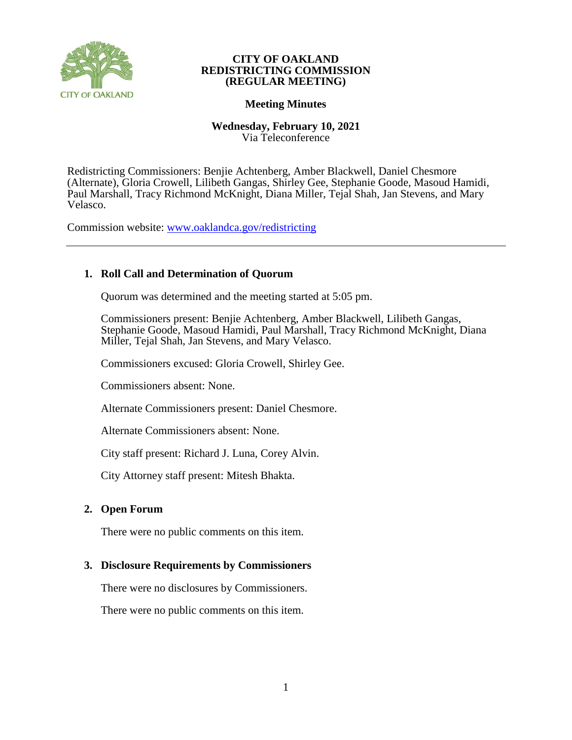

## **CITY OF OAKLAND REDISTRICTING COMMISSION (REGULAR MEETING)**

## **Meeting Minutes**

## **Wednesday, February 10, 2021** Via Teleconference

Redistricting Commissioners: Benjie Achtenberg, Amber Blackwell, Daniel Chesmore (Alternate), Gloria Crowell, Lilibeth Gangas, Shirley Gee, Stephanie Goode, Masoud Hamidi, Paul Marshall, Tracy Richmond McKnight, Diana Miller, Tejal Shah, Jan Stevens, and Mary Velasco.

Commission website: [www.oaklandca.gov/redistricting](https://www.oaklandca.gov/boards-commissions/redistricting-commission/meetings)

# **1. Roll Call and Determination of Quorum**

Quorum was determined and the meeting started at 5:05 pm.

Commissioners present: Benjie Achtenberg, Amber Blackwell, Lilibeth Gangas, Stephanie Goode, Masoud Hamidi, Paul Marshall, Tracy Richmond McKnight, Diana Miller, Tejal Shah, Jan Stevens, and Mary Velasco.

Commissioners excused: Gloria Crowell, Shirley Gee.

Commissioners absent: None.

Alternate Commissioners present: Daniel Chesmore.

Alternate Commissioners absent: None.

City staff present: Richard J. Luna, Corey Alvin.

City Attorney staff present: Mitesh Bhakta.

## **2. Open Forum**

There were no public comments on this item.

## **3. Disclosure Requirements by Commissioners**

There were no disclosures by Commissioners.

There were no public comments on this item.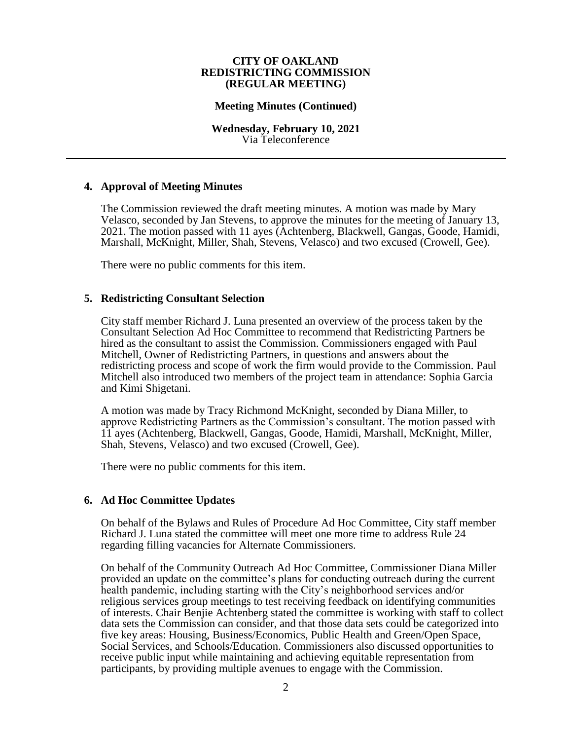#### **CITY OF OAKLAND REDISTRICTING COMMISSION (REGULAR MEETING)**

### **Meeting Minutes (Continued)**

#### **Wednesday, February 10, 2021** Via Teleconference

## **4. Approval of Meeting Minutes**

The Commission reviewed the draft meeting minutes. A motion was made by Mary Velasco, seconded by Jan Stevens, to approve the minutes for the meeting of January 13, 2021. The motion passed with 11 ayes (Achtenberg, Blackwell, Gangas, Goode, Hamidi, Marshall, McKnight, Miller, Shah, Stevens, Velasco) and two excused (Crowell, Gee).

There were no public comments for this item.

### **5. Redistricting Consultant Selection**

City staff member Richard J. Luna presented an overview of the process taken by the Consultant Selection Ad Hoc Committee to recommend that Redistricting Partners be hired as the consultant to assist the Commission. Commissioners engaged with Paul Mitchell, Owner of Redistricting Partners, in questions and answers about the redistricting process and scope of work the firm would provide to the Commission. Paul Mitchell also introduced two members of the project team in attendance: Sophia Garcia and Kimi Shigetani.

A motion was made by Tracy Richmond McKnight, seconded by Diana Miller, to approve Redistricting Partners as the Commission's consultant. The motion passed with 11 ayes (Achtenberg, Blackwell, Gangas, Goode, Hamidi, Marshall, McKnight, Miller, Shah, Stevens, Velasco) and two excused (Crowell, Gee).

There were no public comments for this item.

#### **6. Ad Hoc Committee Updates**

On behalf of the Bylaws and Rules of Procedure Ad Hoc Committee, City staff member Richard J. Luna stated the committee will meet one more time to address Rule 24 regarding filling vacancies for Alternate Commissioners.

On behalf of the Community Outreach Ad Hoc Committee, Commissioner Diana Miller provided an update on the committee's plans for conducting outreach during the current health pandemic, including starting with the City's neighborhood services and/or religious services group meetings to test receiving feedback on identifying communities of interests. Chair Benjie Achtenberg stated the committee is working with staff to collect data sets the Commission can consider, and that those data sets could be categorized into five key areas: Housing, Business/Economics, Public Health and Green/Open Space, Social Services, and Schools/Education. Commissioners also discussed opportunities to receive public input while maintaining and achieving equitable representation from participants, by providing multiple avenues to engage with the Commission.